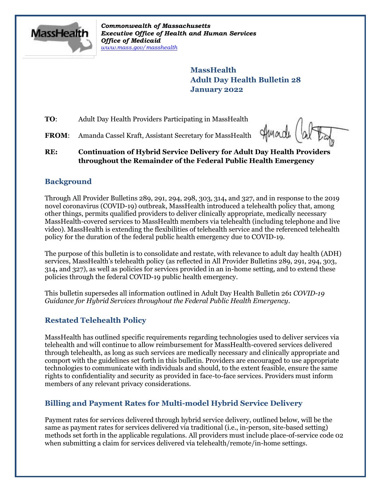

*Commonwealth of Massachusetts Executive Office of Health and Human Services Office of Medicaid [www.mass.gov/masshealth](http://www.mass.gov/masshealth)*

> **MassHealth Adult Day Health Bulletin 28 January 2022**

**TO**: Adult Day Health Providers Participating in MassHealth

**FROM**: Amanda Cassel Kraft, Assistant Secretary for MassHealth

Imade

## **RE: Continuation of Hybrid Service Delivery for Adult Day Health Providers throughout the Remainder of the Federal Public Health Emergency**

# **Background**

Through All Provider Bulletins 289, 291, 294, 298, 303, 314**,** and 327, and in response to the 2019 novel coronavirus (COVID-19) outbreak, MassHealth introduced a telehealth policy that, among other things, permits qualified providers to deliver clinically appropriate, medically necessary MassHealth-covered services to MassHealth members via telehealth (including telephone and live video). MassHealth is extending the flexibilities of telehealth service and the referenced telehealth policy for the duration of the federal public health emergency due to COVID-19.

The purpose of this bulletin is to consolidate and restate, with relevance to adult day health (ADH) services, MassHealth's telehealth policy (as reflected in All Provider Bulletins 289, 291, 294, 303, 314**,** and 327), as well as policies for services provided in an in-home setting, and to extend these policies through the federal COVID-19 public health emergency.

This bulletin supersedes all information outlined in Adult Day Health Bulletin 26**:** *COVID-19 Guidance for Hybrid Services throughout the Federal Public Health Emergency*.

# **Restated Telehealth Policy**

MassHealth has outlined specific requirements regarding technologies used to deliver services via telehealth and will continue to allow reimbursement for MassHealth-covered services delivered through telehealth, as long as such services are medically necessary and clinically appropriate and comport with the guidelines set forth in this bulletin. Providers are encouraged to use appropriate technologies to communicate with individuals and should, to the extent feasible, ensure the same rights to confidentiality and security as provided in face-to-face services. Providers must inform members of any relevant privacy considerations.

# **Billing and Payment Rates for Multi-model Hybrid Service Delivery**

Payment rates for services delivered through hybrid service delivery, outlined below, will be the same as payment rates for services delivered via traditional (i.e., in-person, site-based setting) methods set forth in the applicable regulations. All providers must include place-of-service code 02 when submitting a claim for services delivered via telehealth/remote/in-home settings.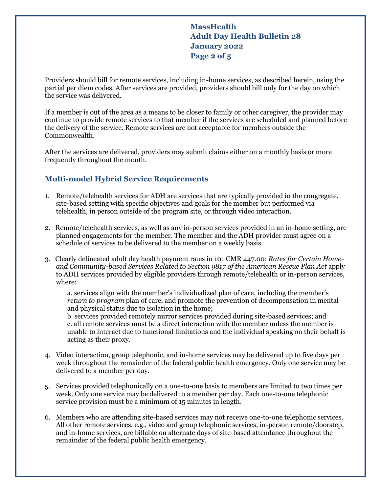**MassHealth Adult Day Health Bulletin 28 January 2022 Page 2 of 5**

Providers should bill for remote services, including in-home services, as described herein, using the partial per diem codes. After services are provided, providers should bill only for the day on which the service was delivered.

If a member is out of the area as a means to be closer to family or other caregiver, the provider may continue to provide remote services to that member if the services are scheduled and planned before the delivery of the service. Remote services are not acceptable for members outside the Commonwealth.

After the services are delivered, providers may submit claims either on a monthly basis or more frequently throughout the month.

## **Multi-model Hybrid Service Requirements**

- 1. Remote/telehealth services for ADH are services that are typically provided in the congregate, site-based setting with specific objectives and goals for the member but performed via telehealth, in person outside of the program site, or through video interaction.
- 2. Remote/telehealth services, as well as any in-person services provided in an in-home setting, are planned engagements for the member. The member and the ADH provider must agree on a schedule of services to be delivered to the member on a weekly basis.
- 3. Clearly delineated adult day health payment rates in 101 CMR 447.00: *Rates for Certain Homeand Community-based Services Related to Section 9817 of the American Rescue Plan Act* apply to ADH services provided by eligible providers through remote/telehealth or in-person services, where:

a. services align with the member's individualized plan of care, including the member's *return to program* plan of care, and promote the prevention of decompensation in mental and physical status due to isolation in the home;

b. services provided remotely mirror services provided during site-based services; and c. all remote services must be a direct interaction with the member unless the member is unable to interact due to functional limitations and the individual speaking on their behalf is acting as their proxy.

- 4. Video interaction, group telephonic, and in-home services may be delivered up to five days per week throughout the remainder of the federal public health emergency. Only one service may be delivered to a member per day.
- 5. Services provided telephonically on a one-to-one basis to members are limited to two times per week. Only one service may be delivered to a member per day. Each one-to-one telephonic service provision must be a minimum of 15 minutes in length.
- 6. Members who are attending site-based services may not receive one-to-one telephonic services. All other remote services, e.g., video and group telephonic services, in-person remote/doorstep, and in-home services, are billable on alternate days of site-based attendance throughout the remainder of the federal public health emergency.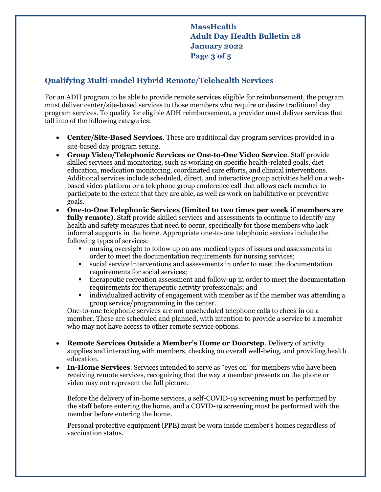**MassHealth Adult Day Health Bulletin 28 January 2022 Page 3 of 5**

## **Qualifying Multi-model Hybrid Remote/Telehealth Services**

For an ADH program to be able to provide remote services eligible for reimbursement, the program must deliver center/site-based services to those members who require or desire traditional day program services. To qualify for eligible ADH reimbursement, a provider must deliver services that fall into of the following categories:

- **Center/Site-Based Services**. These are traditional day program services provided in a site-based day program setting.
- **Group Video/Telephonic Services or One-to-One Video Service**. Staff provide skilled services and monitoring, such as working on specific health-related goals, diet education, medication monitoring, coordinated care efforts, and clinical interventions. Additional services include scheduled, direct, and interactive group activities held on a webbased video platform or a telephone group conference call that allows each member to participate to the extent that they are able, as well as work on habilitative or preventive goals.
- **One-to-One Telephonic Services (limited to two times per week if members are fully remote)**. Staff provide skilled services and assessments to continue to identify any health and safety measures that need to occur, specifically for those members who lack informal supports in the home. Appropriate one-to-one telephonic services include the following types of services:
	- nursing oversight to follow up on any medical types of issues and assessments in order to meet the documentation requirements for nursing services;
	- social service interventions and assessments in order to meet the documentation requirements for social services;
	- therapeutic recreation assessment and follow-up in order to meet the documentation requirements for therapeutic activity professionals; and
	- individualized activity of engagement with member as if the member was attending a group service/programming in the center.

One-to-one telephonic services are not unscheduled telephone calls to check in on a member. These are scheduled and planned, with intention to provide a service to a member who may not have access to other remote service options.

- **Remote Services Outside a Member's Home or Doorstep***.* Delivery of activity supplies and interacting with members, checking on overall well-being, and providing health education.
- **In-Home Services**. Services intended to serve as "eyes on" for members who have been receiving remote services, recognizing that the way a member presents on the phone or video may not represent the full picture.

Before the delivery of in-home services, a self-COVID-19 screening must be performed by the staff before entering the home, and a COVID-19 screening must be performed with the member before entering the home.

Personal protective equipment (PPE) must be worn inside member's homes regardless of vaccination status.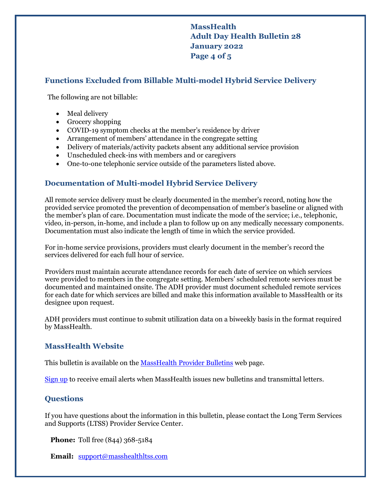**MassHealth Adult Day Health Bulletin 28 January 2022 Page 4 of 5**

### **Functions Excluded from Billable Multi-model Hybrid Service Delivery**

The following are not billable:

- Meal delivery
- Grocery shopping
- COVID-19 symptom checks at the member's residence by driver
- Arrangement of members' attendance in the congregate setting
- Delivery of materials/activity packets absent any additional service provision
- Unscheduled check-ins with members and or caregivers
- One-to-one telephonic service outside of the parameters listed above.

#### **Documentation of Multi-model Hybrid Service Delivery**

All remote service delivery must be clearly documented in the member's record, noting how the provided service promoted the prevention of decompensation of member's baseline or aligned with the member's plan of care. Documentation must indicate the mode of the service; i.e., telephonic, video, in-person, in-home, and include a plan to follow up on any medically necessary components. Documentation must also indicate the length of time in which the service provided.

For in-home service provisions, providers must clearly document in the member's record the services delivered for each full hour of service.

Providers must maintain accurate attendance records for each date of service on which services were provided to members in the congregate setting. Members' scheduled remote services must be documented and maintained onsite. The ADH provider must document scheduled remote services for each date for which services are billed and make this information available to MassHealth or its designee upon request.

ADH providers must continue to submit utilization data on a biweekly basis in the format required by MassHealth.

#### **MassHealth Website**

This bulletin is available on th[e MassHealth Provider Bulletins](http://www.mass.gov/masshealth-provider-bulletins) web page.

[Sign up](https://www.mass.gov/forms/email-notifications-for-provider-bulletins-and-transmittal-letters) to receive email alerts when MassHealth issues new bulletins and transmittal letters.

### **Questions**

If you have questions about the information in this bulletin, please contact the Long Term Services and Supports (LTSS) Provider Service Center.

**Phone:** Toll free (844) 368-5184

**Email:** [support@masshealthltss.com](mailto:support@masshealthltss.com)